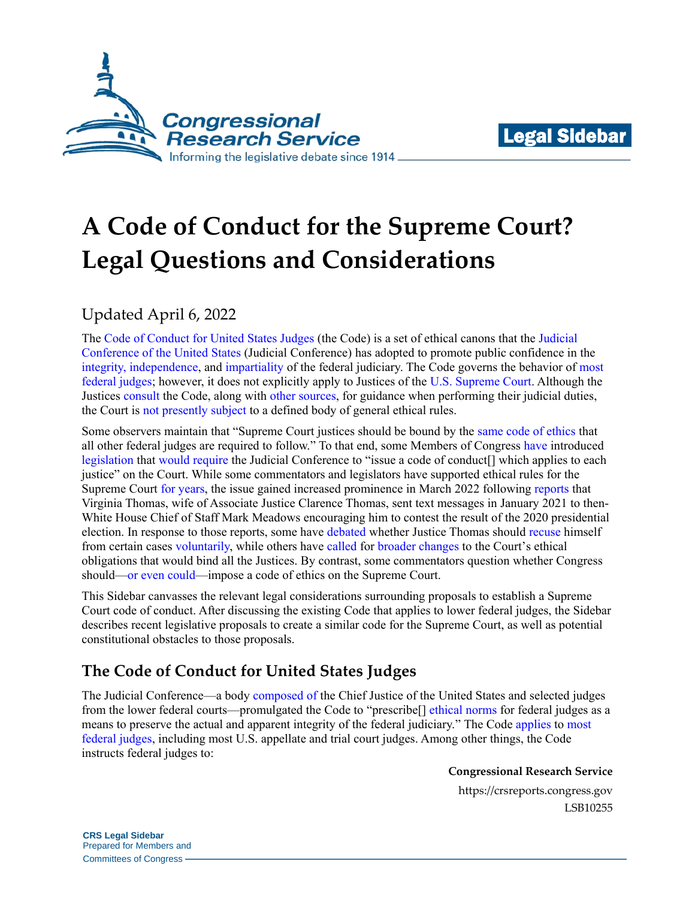



# **A Code of Conduct for the Supreme Court? Legal Questions and Considerations**

# Updated April 6, 2022

The [Code of Conduct for United States Judges](http://www.uscourts.gov/judges-judgeships/code-conduct-united-states-judges) (the Code) is a set of ethical canons that the [Judicial](http://uscode.house.gov/view.xhtml?req=granuleid:USC-prelim-title28-section331&num=0&edition=prelim)  [Conference of the United States](http://uscode.house.gov/view.xhtml?req=granuleid:USC-prelim-title28-section331&num=0&edition=prelim) (Judicial Conference) has adopted to promote public confidence in the integrity, [independence,](http://www.uscourts.gov/judges-judgeships/code-conduct-united-states-judges#b) and [impartiality](http://www.uscourts.gov/judges-judgeships/code-conduct-united-states-judges#d) of the federal judiciary. The Code governs the behavior of [most](https://www.uscourts.gov/judges-judgeships/code-conduct-united-states-judges#g)  [federal judges;](https://www.uscourts.gov/judges-judgeships/code-conduct-united-states-judges#g) however, it does not explicitly apply to Justices of the [U.S. Supreme Court.](http://campbelllawreview.com/cms/wp-content/uploads/2018/05/19_Dubay-Article-531-567.pdf#page=20) Although the Justices [consult](https://www.supremecourt.gov/publicinfo/year-end/2011year-endreport.pdf#page=4) the Code, along with [other sources,](https://www.supremecourt.gov/publicinfo/year-end/2011year-endreport.pdf#page=5) for guidance when performing their judicial duties, the Court is [not presently subject](http://campbelllawreview.com/cms/wp-content/uploads/2018/05/19_Dubay-Article-531-567.pdf#page=20) to a defined body of general ethical rules.

Some observers maintain that "Supreme Court justices should be bound by the [same code of ethics](https://fixthecourt.com/fix/code-of-ethics/) that all other federal judges are required to follow." To that end, some Members of Congress [have](https://www.congress.gov/bill/117th-congress/house-bill/1/text) introduced [legislation](https://www.congress.gov/bill/117th-congress/senate-bill/1/text) that [would](https://www.congress.gov/bill/117th-congress/house-bill/4766/text) [require](https://www.congress.gov/bill/117th-congress/senate-bill/2512/text) the Judicial Conference to "issue a code of conduct[] which applies to each justice" on the Court. While some commentators and legislators have supported ethical rules for the Supreme Court [for years,](https://www.cbsnews.com/news/supreme-court-code-of-conduct-ginni-thomas/) the issue gained increased prominence in March 2022 following [reports](https://www.washingtonpost.com/politics/2022/03/24/virginia-thomas-mark-meadows-texts/) that Virginia Thomas, wife of Associate Justice Clarence Thomas, sent text messages in January 2021 to then-White House Chief of Staff Mark Meadows encouraging him to contest the result of the 2020 presidential election. In response to those reports, some have [debated](https://www.wsj.com/articles/justice-clarence-thomas-shouldnt-recuse-ginni-thomas-texts-donald-trump-supreme-court-11648678766) whether Justice Thomas should [recuse](https://www.npr.org/2022/03/30/1089595933/legal-ethics-experts-agree-justice-thomas-must-recuse-in-insurrection-cases) himself from certain cases [voluntarily,](https://www.brookings.edu/blog/fixgov/2022/03/29/justice-thomass-failure-to-recuse-may-be-wrong-but-its-not-judicial-misconduct/) while others have [called](https://www.newsweek.com/supreme-court-might-get-code-ethics-thanks-clarence-thomas-1693908) fo[r broader changes](https://www.cbsnews.com/news/supreme-court-code-of-conduct-ginni-thomas/) to the Court's ethical obligations that would bind all the Justices. By contrast, some commentators question whether Congress should[—or even could—](https://scholar.valpo.edu/cgi/viewcontent.cgi?article=2302&context=vulr#page=10)impose a code of ethics on the Supreme Court.

This Sidebar canvasses the relevant legal considerations surrounding proposals to establish a Supreme Court code of conduct. After discussing the existing Code that applies to lower federal judges, the Sidebar describes recent legislative proposals to create a similar code for the Supreme Court, as well as potential constitutional obstacles to those proposals.

## **The Code of Conduct for United States Judges**

The Judicial Conference—a body [composed of](http://uscode.house.gov/view.xhtml?req=granuleid:USC-prelim-title28-section331&num=0&edition=prelim) the Chief Justice of the United States and selected judges from the lower federal courts—promulgated the Code to "prescribe[] [ethical norms](https://www.cadc.uscourts.gov/internet/opinions.nsf/E58624BC5DFA27AC85256F7A00642254/$file/00-5212a.txt) for federal judges as a means to preserve the actual and apparent integrity of the federal judiciary." The Code [applies](https://www.uscourts.gov/judges-judgeships/code-conduct-united-states-judges#g) to [most](http://www.uscourts.gov/judges-judgeships/code-conduct-united-states-judges#a)  [federal judges,](http://www.uscourts.gov/judges-judgeships/code-conduct-united-states-judges#a) including most U.S. appellate and trial court judges. Among other things, the Code instructs federal judges to:

**Congressional Research Service**

https://crsreports.congress.gov LSB10255

**CRS Legal Sidebar** Prepared for Members and Committees of Congress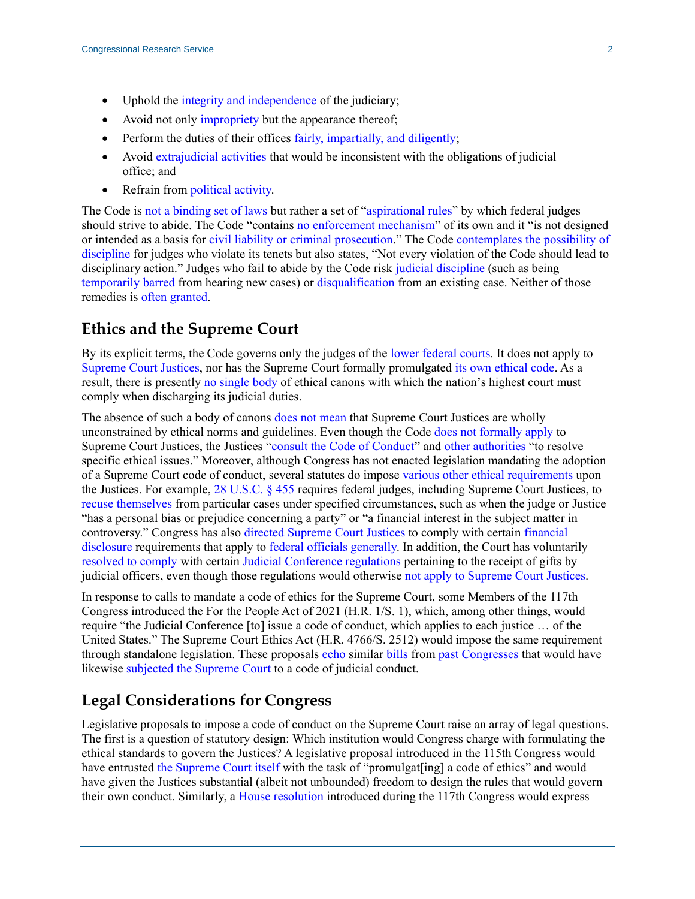- Uphold the [integrity and independence](http://www.uscourts.gov/judges-judgeships/code-conduct-united-states-judges#b) of the judiciary;
- Avoid not only [impropriety](http://www.uscourts.gov/judges-judgeships/code-conduct-united-states-judges#c) but the appearance thereof;
- Perform the duties of their offices [fairly, impartially, and diligently;](http://www.uscourts.gov/judges-judgeships/code-conduct-united-states-judges#d)
- Avoid [extrajudicial activities](http://www.uscourts.gov/judges-judgeships/code-conduct-united-states-judges#e) that would be inconsistent with the obligations of judicial office; and
- Refrain from [political activity.](http://www.uscourts.gov/judges-judgeships/code-conduct-united-states-judges#f)

The Code is [not a binding set of laws](https://crsreports.congress.gov/product/pdf/R/R45300#_Toc98502211) but rather a set of ["aspirational rules"](http://media.ca8.uscourts.gov/opndir/09/11/082001P.pdf#page=15) by which federal judges should strive to abide. The Code "contains [no enforcement mechanism"](https://www.cadc.uscourts.gov/internet/opinions.nsf/E58624BC5DFA27AC85256F7A00642254/$file/00-5212a.txt) of its own and it "is not designed or intended as a basis for [civil liability or criminal prosecution.](http://www.uscourts.gov/judges-judgeships/code-conduct-united-states-judges#b)" The Code [contemplates the possibility of](https://www.uscourts.gov/sites/default/files/code_of_conduct_for_united_states_judges_effective_march_12_2019.pdf#page=3)  [discipline](https://www.uscourts.gov/sites/default/files/code_of_conduct_for_united_states_judges_effective_march_12_2019.pdf#page=3) for judges who violate its tenets but also states, "Not every violation of the Code should lead to disciplinary action." Judges who fail to abide by the Code risk [judicial discipline](https://law.justia.com/cases/federal/appellate-courts/F3/404/688/588948/) (such as being [temporarily barred](http://uscode.house.gov/view.xhtml?req=granuleid:USC-prelim-title28-section354&num=0&edition=prelim) from hearing new cases) or [disqualification](https://www.cadc.uscourts.gov/internet/opinions.nsf/E58624BC5DFA27AC85256F7A00642254/$file/00-5212a.txt) from an existing case. Neither of those remedies is [often granted.](https://digitalcommons.law.mercer.edu/cgi/viewcontent.cgi?article=1509&context=jour_mlr#page=11)

#### **Ethics and the Supreme Court**

By its explicit terms, the Code governs only the judges of the [lower federal courts.](http://www.uscourts.gov/judges-judgeships/code-conduct-united-states-judges#a) It does not apply to [Supreme Court Justices,](http://campbelllawreview.com/cms/wp-content/uploads/2018/05/19_Dubay-Article-531-567.pdf#page=20) nor has the Supreme Court formally promulgated its own [ethical code.](https://www.supremecourt.gov/publicinfo/year-end/2011year-endreport.pdf#page=5) As a result, there is presently [no single](https://www.supremecourt.gov/publicinfo/year-end/2011year-endreport.pdf#page=5) body of ethical canons with which the nation's highest court must comply when discharging its judicial duties.

The absence of such a body of canons [does not mean](https://crsreports.congress.gov/product/pdf/LSB/LSB10189) that Supreme Court Justices are wholly unconstrained by ethical norms and guidelines. Even though the Cod[e does not formally apply](http://www.uscourts.gov/judges-judgeships/code-conduct-united-states-judges#a) to Supreme Court Justices, the Justices ["consult the Code of Conduct"](https://www.supremecourt.gov/publicinfo/year-end/2011year-endreport.pdf#page=4) and [other authorities](https://www.supremecourt.gov/publicinfo/year-end/2011year-endreport.pdf#page=5) "to resolve specific ethical issues." Moreover, although Congress has not enacted legislation mandating the adoption of a Supreme Court code of conduct, several statutes do impose various [other ethical requirements](https://crsreports.congress.gov/product/pdf/LSB/LSB10189) upon the Justices. For example, [28 U.S.C. § 455](http://uscode.house.gov/view.xhtml?req=granuleid:USC-prelim-title28-section455&num=0&edition=prelim) requires federal judges, including Supreme Court Justices, to [recuse themselves](https://crsreports.congress.gov/product/pdf/R/R45300#_Toc523407272) from particular cases under specified circumstances, such as when the judge or Justice "has a personal bias or prejudice concerning a party" or "a financial interest in the subject matter in controversy." Congress has also [directed Supreme Court Justices](http://uscode.house.gov/view.xhtml?req=granuleid:USC-prelim-title5a-node49-title1-section109&num=0&edition=prelim) to comply with certain [financial](http://uscode.house.gov/view.xhtml?req=granuleid:USC-prelim-title5a-node49-title1-section101&num=0&edition=prelim)  [disclosure](http://uscode.house.gov/view.xhtml?req=granuleid:USC-prelim-title5a-node49-title1-section101&num=0&edition=prelim) requirements that apply to [federal officials generally.](http://uscode.house.gov/view.xhtml?req=granuleid:USC-prelim-title5a-node49-title1-section109&num=0&edition=prelim) In addition, the Court has voluntarily [resolved to comply](https://www.washingtonpost.com/r/2010-2019/WashingtonPost/2012/02/21/National-Politics/Graphics/1991_Resolution.pdf) with certain [Judicial Conference regulations](https://www.uscourts.gov/sites/default/files/vol02c-ch06.pdf) pertaining to the receipt of gifts by judicial officers, even though those regulations would otherwise [not apply to Supreme Court Justices.](https://www.uscourts.gov/sites/default/files/vol02c-ch06.pdf#page=2)

In response to calls to mandate a code of ethics for the Supreme Court, some Members of the 117th Congress introduced the For the People Act of 2021 [\(H.R. 1](http://www.congress.gov/cgi-lis/bdquery/z?d117:H.R.1:)[/S. 1\)](http://www.congress.gov/cgi-lis/bdquery/z?d117:S.1:), which, among other things, would require "the Judicial Conference [to] issue a code of conduct, which applies to each justice … of the United States." The Supreme Court Ethics Act [\(H.R. 4766](http://www.congress.gov/cgi-lis/bdquery/z?d117:H.R.4766:)[/S. 2512\)](http://www.congress.gov/cgi-lis/bdquery/z?d117:S.2512:) would impose the same requirement through standalone legislation. These proposals [echo](https://www.congress.gov/bill/116th-congress/house-bill/1/text) similar [bills](https://www.congress.gov/115/bills/s3357/BILLS-115s3357is.pdf#page=140) from [past Congresses](https://www.congress.gov/115/bills/s835/BILLS-115s835is.pdf#page=3) that would have likewise subjected [the Supreme Court](https://www.congress.gov/115/bills/hr7140/BILLS-115hr7140ih.pdf#page=141) to a code of judicial conduct.

#### **Legal Considerations for Congress**

Legislative proposals to impose a code of conduct on the Supreme Court raise an array of legal questions. The first is a question of statutory design: Which institution would Congress charge with formulating the ethical standards to govern the Justices? A legislative proposal introduced in the 115th Congress would have entrusted [the Supreme Court itself](https://www.congress.gov/115/bills/s835/BILLS-115s835is.pdf#page=3) with the task of "promulgat[ing] a code of ethics" and would have given the Justices substantial (albeit not unbounded) freedom to design the rules that would govern their own conduct. Similarly, a [House resolution](https://www.congress.gov/bill/117th-congress/house-resolution/702/text) introduced during the 117th Congress would express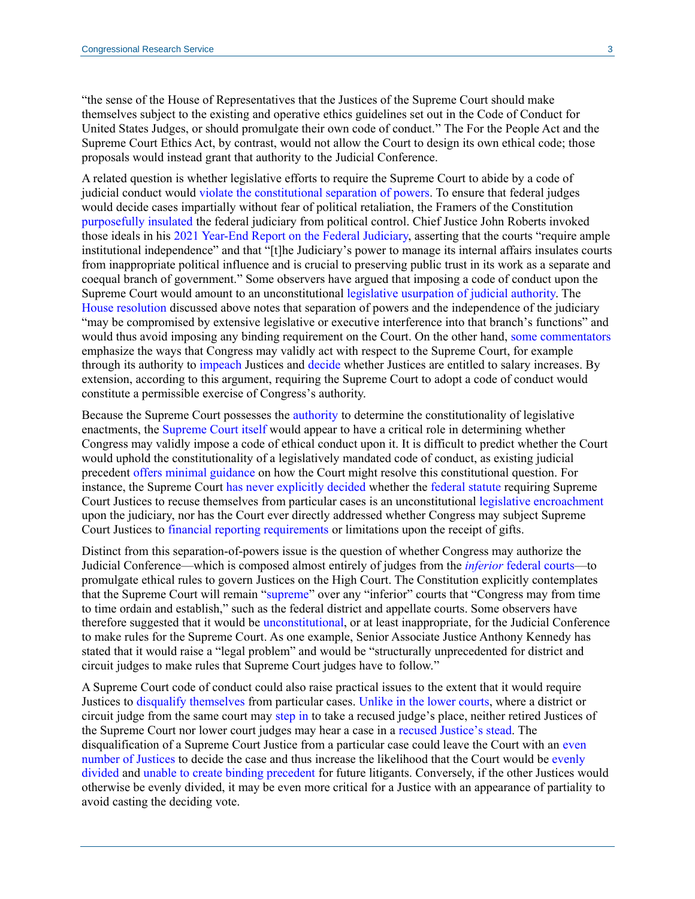"the sense of the House of Representatives that the Justices of the Supreme Court should make themselves subject to the existing and operative ethics guidelines set out in the Code of Conduct for United States Judges, or should promulgate their own code of conduct." The For the People Act and the Supreme Court Ethics Act, by contrast, would not allow the Court to design its own ethical code; those proposals would instead grant that authority to the Judicial Conference.

A related question is whether legislative efforts to require the Supreme Court to abide by a code of judicial conduct would [violate the constitutional separation of powers.](https://scholar.valpo.edu/cgi/viewcontent.cgi?article=2302&context=vulr#page=10) To ensure that federal judges would decide cases impartially without fear of political retaliation, the Framers of the Constitution [purposefully insulated](https://guides.loc.gov/federalist-papers/text-71-80#s-lg-box-wrapper-25493470) the federal judiciary from political control. Chief Justice John Roberts invoked those ideals in his 2021 [Year-End Report on the Federal Judiciary,](https://www.supremecourt.gov/publicinfo/year-end/2021year-endreport.pdf) asserting that the courts "require ample institutional independence" and that "[t]he Judiciary's power to manage its internal affairs insulates courts from inappropriate political influence and is crucial to preserving public trust in its work as a separate and coequal branch of government." Some observers have argued that imposing a code of conduct upon the Supreme Court would amount to an unconstitutional [legislative usurpation of judicial authority.](https://scholar.valpo.edu/cgi/viewcontent.cgi?article=2302&context=vulr#page=10) The [House resolution](https://www.congress.gov/bill/117th-congress/house-resolution/702/text) discussed above notes that separation of powers and the independence of the judiciary "may be compromised by extensive legislative or executive interference into that branch's functions" and would thus avoid imposing any binding requirement on the Court. On the other hand, [some commentators](http://law.howard.edu/sites/default/files/related-downloads/how_58_3.pdf#page=252) emphasize the ways that Congress may validly act with respect to the Supreme Court, for example through its authority to [impeach](https://crsreports.congress.gov/product/pdf/R/R44260) Justices and [decide](http://uscode.house.gov/view.xhtml?req=granuleid:USC-prelim-title28-section5&num=0&edition=prelim) whether Justices are entitled to salary increases. By extension, according to this argument, requiring the Supreme Court to adopt a code of conduct would constitute a permissible exercise of Congress's authority.

Because the Supreme Court possesses the [authority](https://supreme.justia.com/cases/federal/us/5/137/#tab-opinion-1958607) to determine the constitutionality of legislative enactments, the [Supreme Court itself](https://crsreports.congress.gov/product/pdf/LSB/LSB10189) would appear to have a critical role in determining whether Congress may validly impose a code of ethical conduct upon it. It is difficult to predict whether the Court would uphold the constitutionality of a legislatively mandated code of conduct, as existing judicial precedent [offers minimal guidance](https://crsreports.congress.gov/product/pdf/LSB/LSB10189) on how the Court might resolve this constitutional question. For instance, the Supreme Court [has never explicitly decided](https://www.supremecourt.gov/publicinfo/year-end/2011year-endreport.pdf#page=7) whether the [federal statute](http://uscode.house.gov/view.xhtml?req=granuleid:USC-prelim-title28-section455&num=0&edition=prelim) requiring Supreme Court Justices to recuse themselves from particular cases is an unconstitutional [legislative encroachment](https://scholar.valpo.edu/cgi/viewcontent.cgi?article=2302&context=vulr#page=12) upon the judiciary, nor has the Court ever directly addressed whether Congress may subject Supreme Court Justices to [financial reporting requirements](https://www.supremecourt.gov/publicinfo/year-end/2011year-endreport.pdf#page=6) or limitations upon the receipt of gifts.

Distinct from this separation-of-powers issue is the question of whether Congress may authorize the Judicial Conference—which is composed almost entirely of judges from the *inferior* [federal courts—](http://uscode.house.gov/view.xhtml?req=granuleid:USC-prelim-title28-section331&num=0&edition=prelim)to promulgate ethical rules to govern Justices on the High Court. The Constitution explicitly contemplates that the Supreme Court will remain ["supreme"](https://www.archives.gov/founding-docs/constitution-transcript#toc-article-iii-) over any "inferior" courts that "Congress may from time to time ordain and establish," such as the federal district and appellate courts. Some observers have therefore suggested that it would be [unconstitutional,](https://scholar.valpo.edu/cgi/viewcontent.cgi?article=2302&context=vulr#page=10) or at least inappropriate, for the Judicial Conference to make rules for the Supreme Court. As one example, Senior Associate Justice Anthony Kennedy has stated that it would raise a "legal problem" and would be "structurally unprecedented for district and circuit judges to make rules that Supreme Court judges have to follow."

A Supreme Court code of conduct could also raise practical issues to the extent that it would require Justices to [disqualify themselves](https://www.uscourts.gov/judges-judgeships/code-conduct-united-states-judges#d) from particular cases. [Unlike in the lower courts,](https://casetext.com/case/appeal-denied) where a district or circuit judge from the same court may [step in](https://law.resource.org/pub/us/case/reporter/US/541/541.US.913.03-475.html) to take a recused judge's place, neither retired Justices of the Supreme Court nor lower court judges may hear a case in a [recused Justice's stead.](https://crsreports.congress.gov/product/pdf/R/R45300#ifn131) The disqualification of a Supreme Court Justice from a particular case could leave the Court with an [even](https://law.resource.org/pub/us/case/reporter/US/541/541.US.913.03-475.html)  [number of Justices](https://law.resource.org/pub/us/case/reporter/US/541/541.US.913.03-475.html) to decide the case and thus increase the likelihood that the Court would be [evenly](https://casetext.com/case/appeal-denied)  [divided](https://casetext.com/case/appeal-denied) and [unable to create binding precedent](https://crsreports.congress.gov/product/pdf/R/R45300#_Toc523407272) for future litigants. Conversely, if the other Justices would otherwise be evenly divided, it may be even more critical for a Justice with an appearance of partiality to avoid casting the deciding vote.